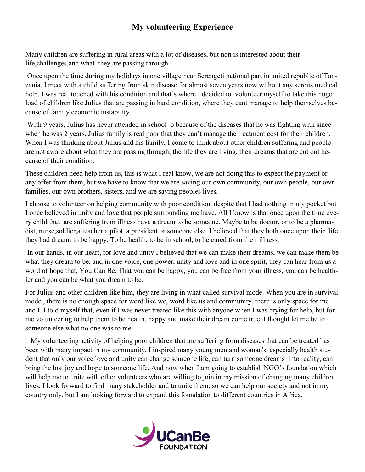## **My volunteering Experience**

Many children are suffering in rural areas with a lot of diseases, but non is interested about their life,challenges,and what they are passing through.

Once upon the time during my holidays in one village near Serengeti national part in united republic of Tanzania, I meet with a child suffering from skin disease for almost seven years now without any serous medical help. I was real touched with his condition and that's where I decided to volunteer myself to take this huge load of children like Julius that are passing in hard condition, where they cant manage to help themselves because of family economic instability.

With 9 years, Julius has never attended in school b because of the diseases that he was fighting with since when he was 2 years. Julius family is real poor that they can't manage the treatment cost for their children. When I was thinking about Julius and his family, I come to think about other children suffering and people are not aware about what they are passing through, the life they are living, their dreams that are cut out because of their condition.

These children need help from us, this is what I real know, we are not doing this to expect the payment or any offer from them, but we have to know that we are saving our own community, our own people, our own families, our own brothers, sisters, and we are saving peoples lives.

I choose to volunteer on helping community with poor condition, despite that I had nothing in my pocket but I once believed in unity and love that people surrounding me have. All I know is that once upon the time every child that are suffering from illness have a dream to be someone. Maybe to be doctor, or to be a pharmacist, nurse,soldier,a teacher,a pilot, a president or someone else. I believed that they both once upon their life they had dreamt to be happy. To be health, to be in school, to be cured from their illness.

In our hands, in our heart, for love and unity I believed that we can make their dreams, we can make them be what they dream to be, and in one voice, one power, unity and love and in one spirit, they can hear from us a word of hope that, You Can Be. That you can be happy, you can be free from your illness, you can be healthier and you can be what you dream to be.

For Julius and other children like him, they are living in what called survival mode. When you are in survival mode , there is no enough space for word like we, word like us and community, there is only space for me and I. I told myself that, even if I was never treated like this with anyone when I was crying for help, but for me volunteering to help them to be health, happy and make their dream come true. I thought let me be to someone else what no one was to me.

 My volunteering activity of helping poor children that are suffering from diseases that can be treated has been with many impact in my community, I inspired many young men and woman's, especially health student that only our voice love and unity can change someone life, can turn someone dreams into reality, can bring the lost joy and hope to someone life. And now when I am going to establish NGO's foundation which will help me to unite with other volunteers who are willing to join in my mission of changing many children lives, I look forward to find many stakeholder and to unite them, so we can help our society and not in my country only, but I am looking forward to expand this foundation to different countries in Africa.